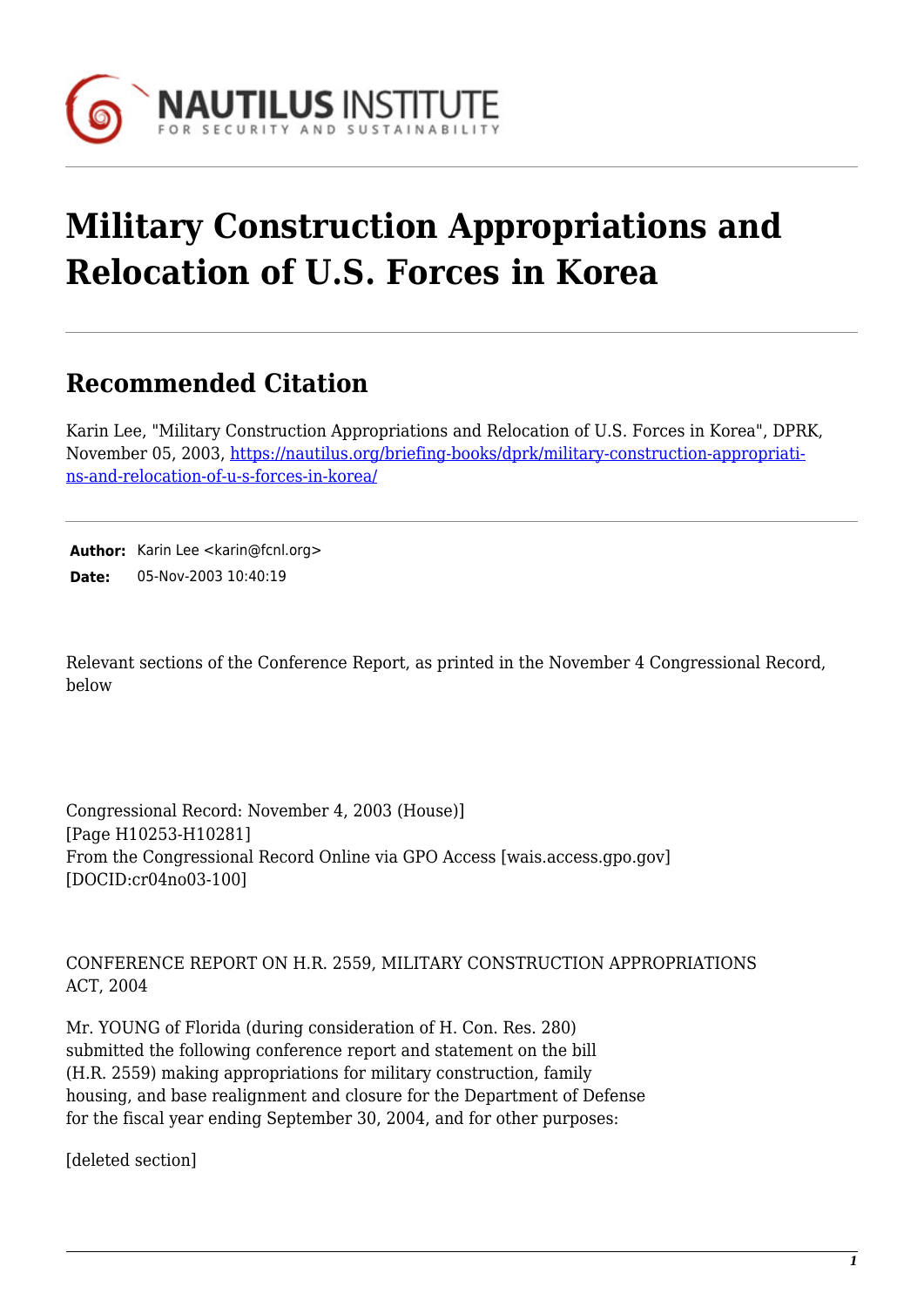

## **Military Construction Appropriations and Relocation of U.S. Forces in Korea**

## **Recommended Citation**

Karin Lee, "Military Construction Appropriations and Relocation of U.S. Forces in Korea", DPRK, November 05, 2003, [https://nautilus.org/briefing-books/dprk/military-construction-appropriati](https://nautilus.org/briefing-books/dprk/military-construction-appropriations-and-relocation-of-u-s-forces-in-korea/)[ns-and-relocation-of-u-s-forces-in-korea/](https://nautilus.org/briefing-books/dprk/military-construction-appropriations-and-relocation-of-u-s-forces-in-korea/)

Author: Karin Lee <karin@fcnl.org> **Date:** 05-Nov-2003 10:40:19

Relevant sections of the Conference Report, as printed in the November 4 Congressional Record, below

Congressional Record: November 4, 2003 (House)] [Page H10253-H10281] From the Congressional Record Online via GPO Access [wais.access.gpo.gov] [DOCID:cr04no03-100]

CONFERENCE REPORT ON H.R. 2559, MILITARY CONSTRUCTION APPROPRIATIONS ACT, 2004

Mr. YOUNG of Florida (during consideration of H. Con. Res. 280) submitted the following conference report and statement on the bill (H.R. 2559) making appropriations for military construction, family housing, and base realignment and closure for the Department of Defense for the fiscal year ending September 30, 2004, and for other purposes:

[deleted section]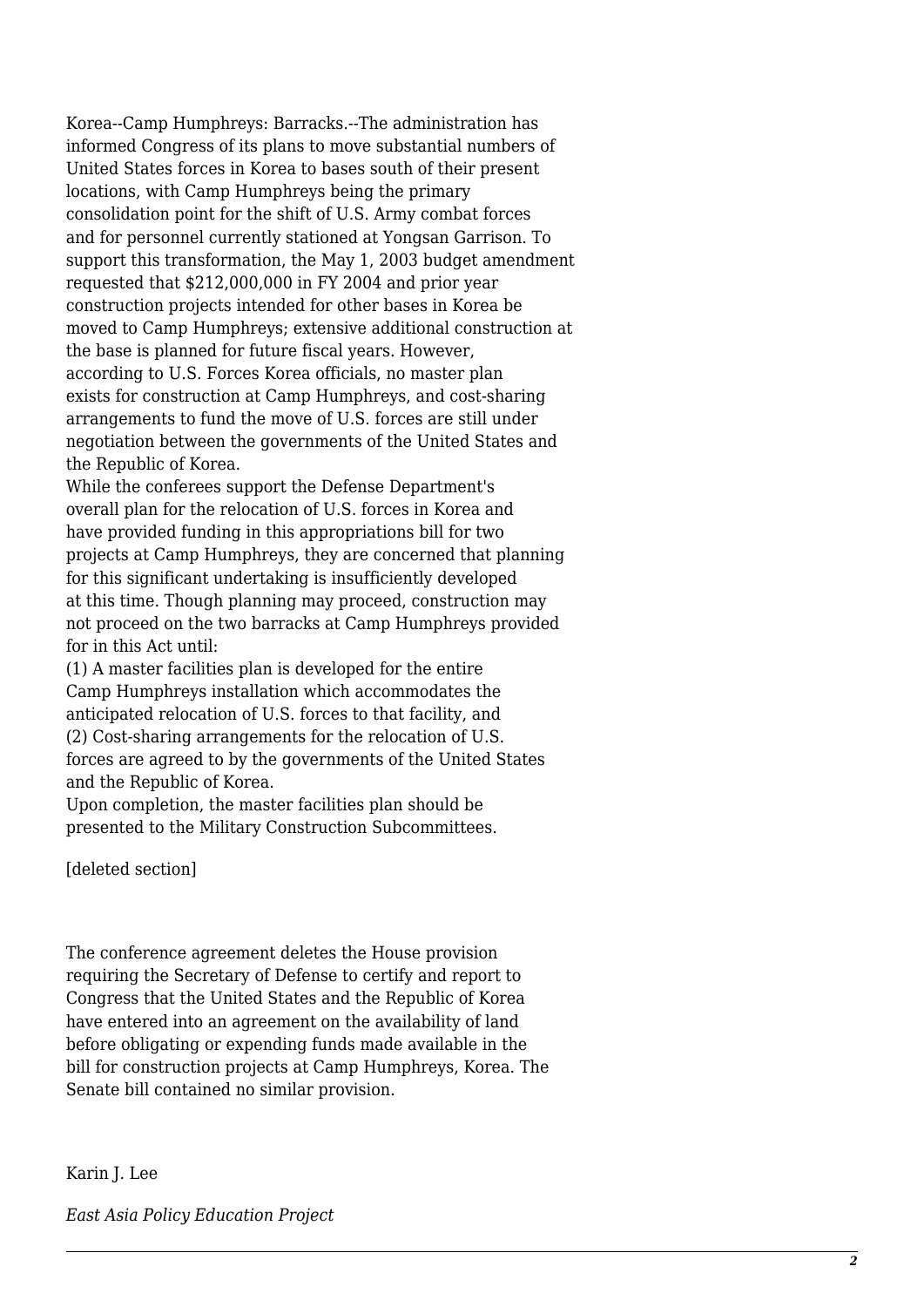Korea--Camp Humphreys: Barracks.--The administration has informed Congress of its plans to move substantial numbers of United States forces in Korea to bases south of their present locations, with Camp Humphreys being the primary consolidation point for the shift of U.S. Army combat forces and for personnel currently stationed at Yongsan Garrison. To support this transformation, the May 1, 2003 budget amendment requested that \$212,000,000 in FY 2004 and prior year construction projects intended for other bases in Korea be moved to Camp Humphreys; extensive additional construction at the base is planned for future fiscal years. However, according to U.S. Forces Korea officials, no master plan exists for construction at Camp Humphreys, and cost-sharing arrangements to fund the move of U.S. forces are still under negotiation between the governments of the United States and the Republic of Korea.

While the conferees support the Defense Department's overall plan for the relocation of U.S. forces in Korea and have provided funding in this appropriations bill for two projects at Camp Humphreys, they are concerned that planning for this significant undertaking is insufficiently developed at this time. Though planning may proceed, construction may not proceed on the two barracks at Camp Humphreys provided for in this Act until:

(1) A master facilities plan is developed for the entire Camp Humphreys installation which accommodates the anticipated relocation of U.S. forces to that facility, and (2) Cost-sharing arrangements for the relocation of U.S. forces are agreed to by the governments of the United States and the Republic of Korea.

Upon completion, the master facilities plan should be presented to the Military Construction Subcommittees.

[deleted section]

The conference agreement deletes the House provision requiring the Secretary of Defense to certify and report to Congress that the United States and the Republic of Korea have entered into an agreement on the availability of land before obligating or expending funds made available in the bill for construction projects at Camp Humphreys, Korea. The Senate bill contained no similar provision.

Karin J. Lee

*East Asia Policy Education Project*